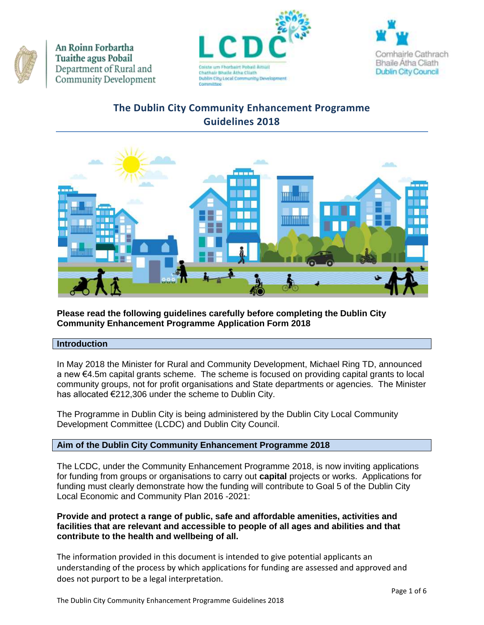

An Roinn Forbartha Tuaithe agus Pobail Department of Rural and Community Development





# **The Dublin City Community Enhancement Programme Guidelines 2018**



**Please read the following guidelines carefully before completing the Dublin City Community Enhancement Programme Application Form 2018**

# **Introduction**

In May 2018 the Minister for Rural and Community Development, Michael Ring TD, announced a new €4.5m capital grants scheme. The scheme is focused on providing capital grants to local community groups, not for profit organisations and State departments or agencies. The Minister has allocated €212,306 under the scheme to Dublin City.

The Programme in Dublin City is being administered by the Dublin City Local Community Development Committee (LCDC) and Dublin City Council.

# **Aim of the Dublin City Community Enhancement Programme 2018**

The LCDC, under the Community Enhancement Programme 2018, is now inviting applications for funding from groups or organisations to carry out **capital** projects or works. Applications for funding must clearly demonstrate how the funding will contribute to Goal 5 of the Dublin City Local Economic and Community Plan 2016 -2021:

## **Provide and protect a range of public, safe and affordable amenities, activities and facilities that are relevant and accessible to people of all ages and abilities and that contribute to the health and wellbeing of all.**

The information provided in this document is intended to give potential applicants an understanding of the process by which applications for funding are assessed and approved and does not purport to be a legal interpretation.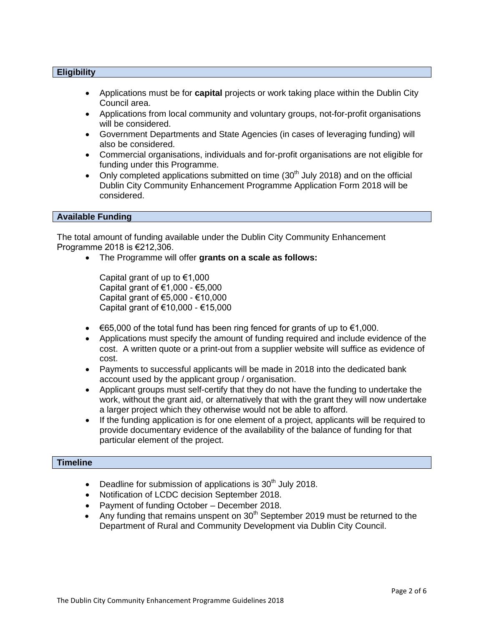#### **Eligibility**

- Applications must be for **capital** projects or work taking place within the Dublin City Council area.
- Applications from local community and voluntary groups, not-for-profit organisations will be considered.
- Government Departments and State Agencies (in cases of leveraging funding) will also be considered.
- Commercial organisations, individuals and for-profit organisations are not eligible for funding under this Programme.
- Only completed applications submitted on time  $(30<sup>th</sup>$  July 2018) and on the official Dublin City Community Enhancement Programme Application Form 2018 will be considered.

#### **Available Funding**

The total amount of funding available under the Dublin City Community Enhancement Programme 2018 is €212,306.

The Programme will offer **grants on a scale as follows:**

Capital grant of up to €1,000 Capital grant of  $€1,000 - €5,000$ Capital grant of €5,000 - €10,000 Capital grant of  $€10,000 - €15,000$ 

- $\cdot\quad$   $\in$  65,000 of the total fund has been ring fenced for grants of up to  $\in$  1,000.
- Applications must specify the amount of funding required and include evidence of the cost. A written quote or a print-out from a supplier website will suffice as evidence of cost.
- Payments to successful applicants will be made in 2018 into the dedicated bank account used by the applicant group / organisation.
- Applicant groups must self-certify that they do not have the funding to undertake the work, without the grant aid, or alternatively that with the grant they will now undertake a larger project which they otherwise would not be able to afford.
- If the funding application is for one element of a project, applicants will be required to provide documentary evidence of the availability of the balance of funding for that particular element of the project.

#### **Timeline**

- Deadline for submission of applications is  $30<sup>th</sup>$  July 2018.
- Notification of LCDC decision September 2018.
- Payment of funding October December 2018.
- Any funding that remains unspent on  $30<sup>th</sup>$  September 2019 must be returned to the Department of Rural and Community Development via Dublin City Council.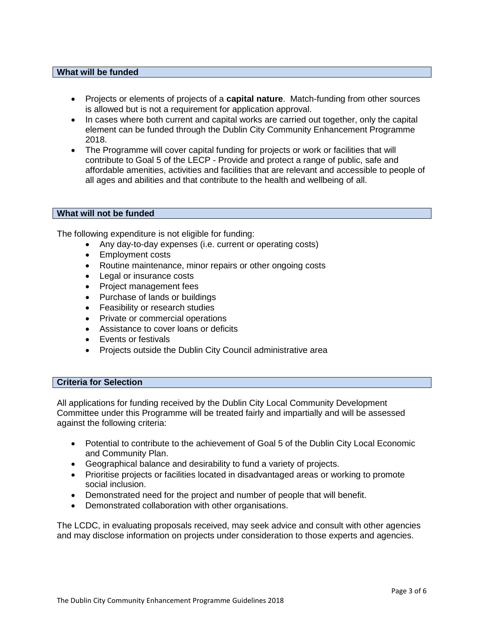### **What will be funded**

- Projects or elements of projects of a **capital nature**. Match-funding from other sources is allowed but is not a requirement for application approval.
- In cases where both current and capital works are carried out together, only the capital element can be funded through the Dublin City Community Enhancement Programme 2018.
- The Programme will cover capital funding for projects or work or facilities that will contribute to Goal 5 of the LECP - Provide and protect a range of public, safe and affordable amenities, activities and facilities that are relevant and accessible to people of all ages and abilities and that contribute to the health and wellbeing of all.

#### **What will not be funded**

The following expenditure is not eligible for funding:

- Any day-to-day expenses (i.e. current or operating costs)
- Employment costs
- Routine maintenance, minor repairs or other ongoing costs
- Legal or insurance costs
- Project management fees
- Purchase of lands or buildings
- Feasibility or research studies
- Private or commercial operations
- Assistance to cover loans or deficits
- Events or festivals
- Projects outside the Dublin City Council administrative area

## **Criteria for Selection**

All applications for funding received by the Dublin City Local Community Development Committee under this Programme will be treated fairly and impartially and will be assessed against the following criteria:

- Potential to contribute to the achievement of Goal 5 of the Dublin City Local Economic and Community Plan.
- Geographical balance and desirability to fund a variety of projects.
- Prioritise projects or facilities located in disadvantaged areas or working to promote social inclusion.
- Demonstrated need for the project and number of people that will benefit.
- Demonstrated collaboration with other organisations.

The LCDC, in evaluating proposals received, may seek advice and consult with other agencies and may disclose information on projects under consideration to those experts and agencies.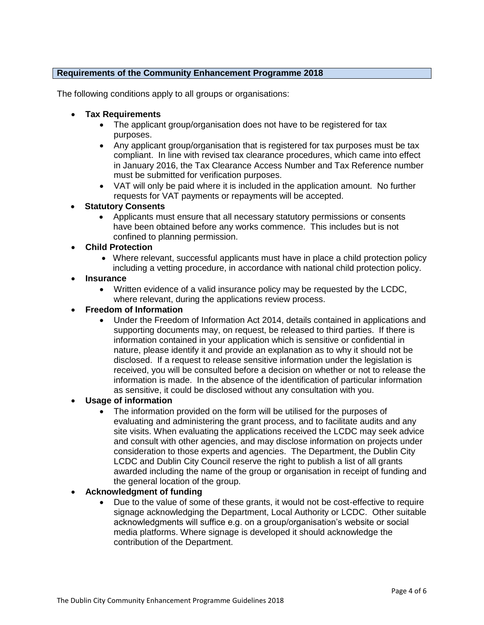## **Requirements of the Community Enhancement Programme 2018**

The following conditions apply to all groups or organisations:

## **Tax Requirements**

- The applicant group/organisation does not have to be registered for tax purposes.
- Any applicant group/organisation that is registered for tax purposes must be tax compliant. In line with revised tax clearance procedures, which came into effect in January 2016, the Tax Clearance Access Number and Tax Reference number must be submitted for verification purposes.
- VAT will only be paid where it is included in the application amount. No further requests for VAT payments or repayments will be accepted.

## **Statutory Consents**

- Applicants must ensure that all necessary statutory permissions or consents have been obtained before any works commence. This includes but is not confined to planning permission.
- **Child Protection**
	- Where relevant, successful applicants must have in place a child protection policy including a vetting procedure, in accordance with national child protection policy.

## **Insurance**

 Written evidence of a valid insurance policy may be requested by the LCDC, where relevant, during the applications review process.

## **Freedom of Information**

 Under the Freedom of Information Act 2014, details contained in applications and supporting documents may, on request, be released to third parties. If there is information contained in your application which is sensitive or confidential in nature, please identify it and provide an explanation as to why it should not be disclosed. If a request to release sensitive information under the legislation is received, you will be consulted before a decision on whether or not to release the information is made. In the absence of the identification of particular information as sensitive, it could be disclosed without any consultation with you.

## **Usage of information**

• The information provided on the form will be utilised for the purposes of evaluating and administering the grant process, and to facilitate audits and any site visits. When evaluating the applications received the LCDC may seek advice and consult with other agencies, and may disclose information on projects under consideration to those experts and agencies. The Department, the Dublin City LCDC and Dublin City Council reserve the right to publish a list of all grants awarded including the name of the group or organisation in receipt of funding and the general location of the group.

## **Acknowledgment of funding**

 Due to the value of some of these grants, it would not be cost-effective to require signage acknowledging the Department, Local Authority or LCDC. Other suitable acknowledgments will suffice e.g. on a group/organisation's website or social media platforms. Where signage is developed it should acknowledge the contribution of the Department.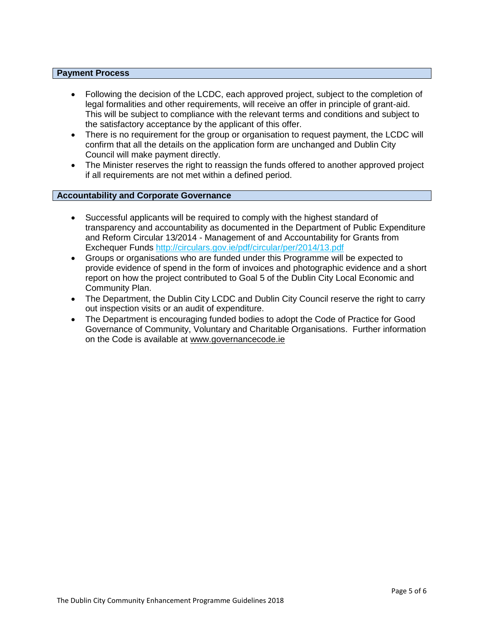### **Payment Process**

- Following the decision of the LCDC, each approved project, subject to the completion of legal formalities and other requirements, will receive an offer in principle of grant-aid. This will be subject to compliance with the relevant terms and conditions and subject to the satisfactory acceptance by the applicant of this offer.
- There is no requirement for the group or organisation to request payment, the LCDC will confirm that all the details on the application form are unchanged and Dublin City Council will make payment directly.
- The Minister reserves the right to reassign the funds offered to another approved project if all requirements are not met within a defined period.

#### **Accountability and Corporate Governance**

- Successful applicants will be required to comply with the highest standard of transparency and accountability as documented in the Department of Public Expenditure and Reform Circular 13/2014 - Management of and Accountability for Grants from Exchequer Funds<http://circulars.gov.ie/pdf/circular/per/2014/13.pdf>
- Groups or organisations who are funded under this Programme will be expected to provide evidence of spend in the form of invoices and photographic evidence and a short report on how the project contributed to Goal 5 of the Dublin City Local Economic and Community Plan.
- The Department, the Dublin City LCDC and Dublin City Council reserve the right to carry out inspection visits or an audit of expenditure.
- The Department is encouraging funded bodies to adopt the Code of Practice for Good Governance of Community, Voluntary and Charitable Organisations. Further information on the Code is available at [www.governancecode.ie](http://www.governancecode.ie/)